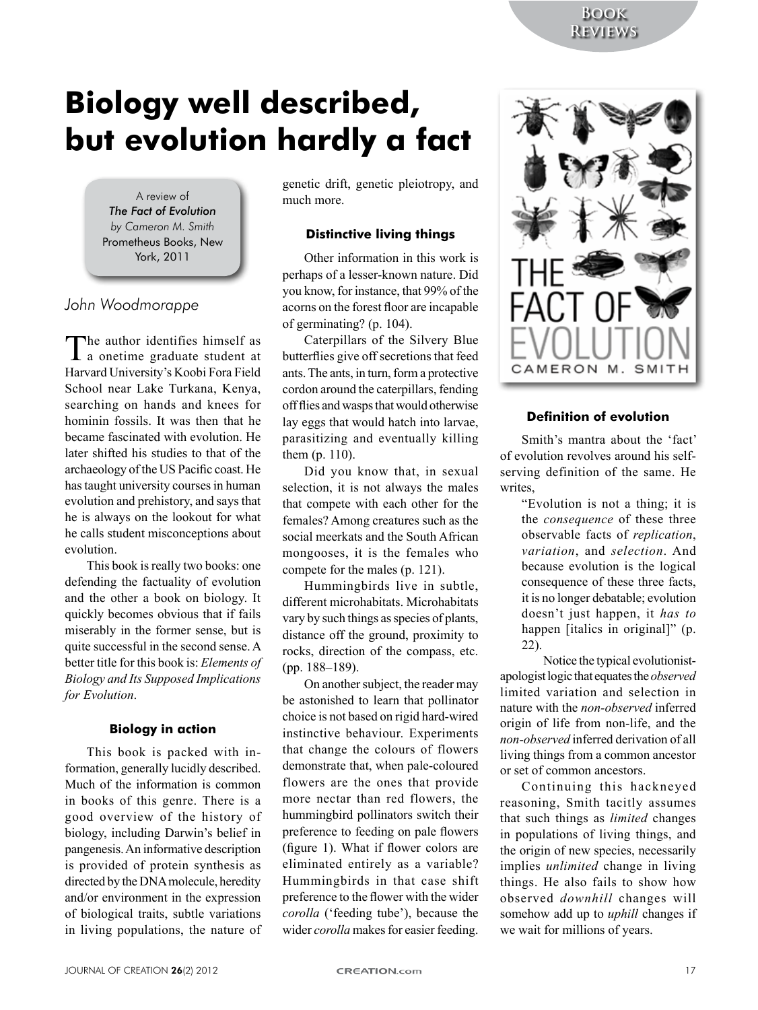# **Biology well described,** but evolution hardly a fact

A review of The Fact of Evolution by Cameron M. Smith Prometheus Books, New York, 2011

## John Woodmorappe

 $\Gamma$ he author identifies himself as la onetime graduate student at Harvard University's Koobi Fora Field School near Lake Turkana, Kenya, searching on hands and knees for hominin fossils. It was then that he became fascinated with evolution. He later shifted his studies to that of the archaeology of the US Pacific coast. He has taught university courses in human evolution and prehistory, and says that he is always on the lookout for what he calls student misconceptions about evolution

This book is really two books: one defending the factuality of evolution and the other a book on biology. It quickly becomes obvious that if fails miserably in the former sense, but is quite successful in the second sense. A better title for this book is: Elements of **Biology and Its Supposed Implications** for Evolution.

#### **Biology in action**

This book is packed with information, generally lucidly described. Much of the information is common in books of this genre. There is a good overview of the history of biology, including Darwin's belief in pangenesis. An informative description is provided of protein synthesis as directed by the DNA molecule, heredity and/or environment in the expression of biological traits, subtle variations in living populations, the nature of genetic drift, genetic pleiotropy, and much more

### **Distinctive living things**

Other information in this work is perhaps of a lesser-known nature. Did you know, for instance, that 99% of the acorns on the forest floor are incapable of germinating? (p. 104).

Caterpillars of the Silvery Blue butterflies give off secretions that feed ants. The ants, in turn, form a protective cordon around the caterpillars, fending off flies and wasps that would otherwise lay eggs that would hatch into larvae, parasitizing and eventually killing them  $(p. 110)$ .

Did you know that, in sexual selection, it is not always the males that compete with each other for the females? Among creatures such as the social meerkats and the South African mongooses, it is the females who compete for the males (p. 121).

Hummingbirds live in subtle, different microhabitats. Microhabitats vary by such things as species of plants, distance off the ground, proximity to rocks, direction of the compass, etc. (pp. 188-189).

On another subject, the reader may be astonished to learn that pollinator choice is not based on rigid hard-wired instinctive behaviour. Experiments that change the colours of flowers demonstrate that, when pale-coloured flowers are the ones that provide more nectar than red flowers, the hummingbird pollinators switch their preference to feeding on pale flowers (figure 1). What if flower colors are eliminated entirely as a variable? Hummingbirds in that case shift preference to the flower with the wider *corolla* ('feeding tube'), because the wider corolla makes for easier feeding.



### **Definition of evolution**

Smith's mantra about the 'fact' of evolution revolves around his selfserving definition of the same. He writes,

"Evolution is not a thing; it is the *consequence* of these three observable facts of replication, variation, and selection. And because evolution is the logical consequence of these three facts. it is no longer debatable; evolution doesn't just happen, it has to happen [italics in original]" (p.  $22$ ).

Notice the typical evolutionistapologist logic that equates the *observed* limited variation and selection in nature with the non-observed inferred origin of life from non-life, and the non-observed inferred derivation of all living things from a common ancestor or set of common ancestors.

Continuing this hackneyed reasoning, Smith tacitly assumes that such things as *limited* changes in populations of living things, and the origin of new species, necessarily implies *unlimited* change in living things. He also fails to show how observed *downhill* changes will somehow add up to *uphill* changes if we wait for millions of years.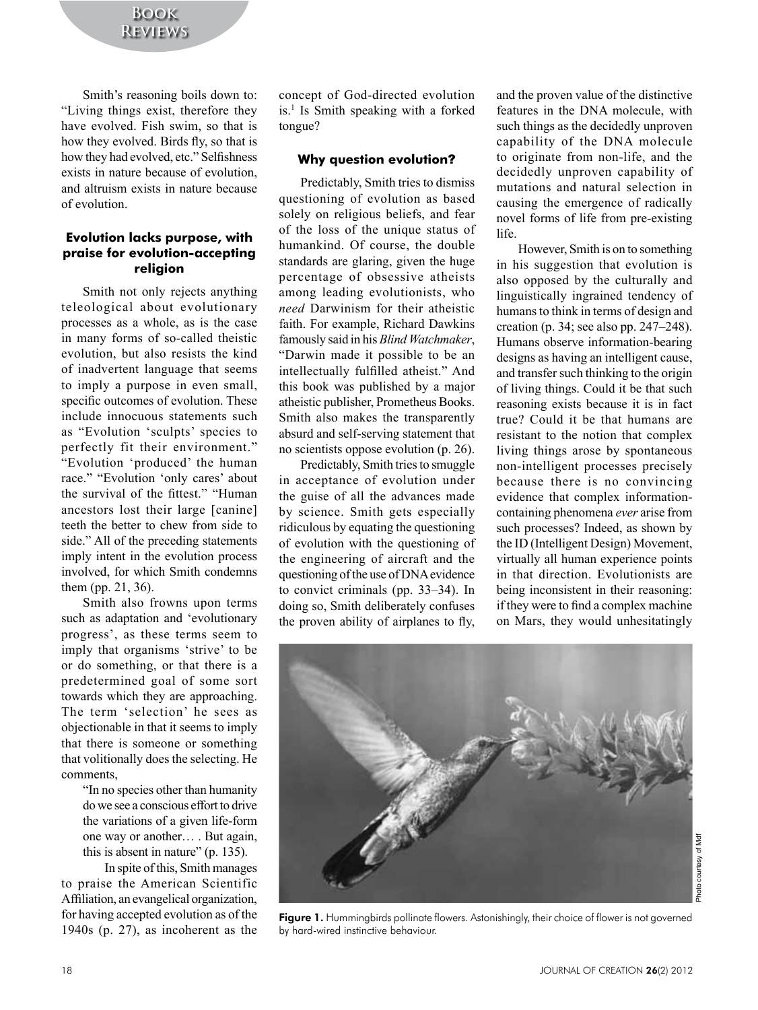Smith's reasoning boils down to: "Living things exist, therefore they have evolved. Fish swim, so that is how they evolved. Birds fly, so that is how they had evolved, etc." Selfishness exists in nature because of evolution, and altruism exists in nature because of'evolution.

#### **Evolution lacks purpose, with praise for evolution-accepting religion**

Smith not only rejects anything teleological about evolutionary processes as a whole, as is the case in many forms of so-called theistic evolution, but also resists the kind of inadvertent language that seems to imply a purpose in even small, specific outcomes of evolution. These include innocuous statements such as "Evolution 'sculpts' species to perfectly fit their environment." "Evolution 'produced' the human race." "Evolution 'only cares' about the survival of the fittest." "Human ancestors lost their large [canine] teeth the better to chew from side to side." All of the preceding statements imply intent in the evolution process involved, for which Smith condemns them  $(pp. 21, 36)$ .

Smith also frowns upon terms such as adaptation and 'evolutionary progress', as these terms seem to imply that organisms 'strive' to be or do something, or that there is a predetermined goal of some sort towards which they are approaching. The term 'selection' he sees as objectionable in that it seems to imply that there is someone or something that volitionally does the selecting. He comments,

> "In no species other than humanity do we see a conscious effort to drive the variations of a given life-form one way or another…. But again, this is absent in nature"  $(p. 135)$ .

In spite of this, Smith manages to praise the American Scientific Affiliation, an evangelical organization, for having accepted evolution as of the  $1940s$  (p. 27), as incoherent as the

concept of God-directed evolution is.<sup>1</sup> Is Smith speaking with a forked tongue?

#### **Why question evolution**?

Predictably, Smith tries to dismiss questioning of evolution as based solely on religious beliefs, and fear of the loss of the unique status of humankind. Of course, the double standards are glaring, given the huge percentage of obsessive atheists among leading evolutionists, who *need* Darwinism for their atheistic faith. For example, Richard Dawkins famously said in his *Blind Watchmaker*, "Darwin made it possible to be an intellectually fulfilled atheist." And this book was published by a major atheistic publisher, Prometheus Books. Smith also makes the transparently absurd and self-serving statement that no scientists oppose evolution  $(p. 26)$ .

Predictably, Smith tries to smuggle in acceptance of evolution under the guise of all the advances made by science. Smith gets especially ridiculous by equating the questioning of evolution with the questioning of the engineering of aircraft and the questioning of the use of DNA evidence to convict criminals (pp.  $33-34$ ). In doing so, Smith deliberately confuses the proven ability of airplanes to fly,

and the proven value of the distinctive features in the DNA molecule, with such things as the decidedly unproven capability of the DNA molecule to originate from non-life, and the decidedly unproven capability of mutations and natural selection in causing the emergence of radically novel forms of life from pre-existing life.

However, Smith is on to something in his suggestion that evolution is also opposed by the culturally and linguistically ingrained tendency of humans to think in terms of design and creation (p. 34; see also pp.  $247-248$ ). Humans observe information-bearing designs as having an intelligent cause, and transfer such thinking to the origin of living things. Could it be that such reasoning exists because it is in fact true? Could it be that humans are resistant to the notion that complex living things arose by spontaneous non-intelligent processes precisely because there is no convincing evidence that complex informationcontaining'phenomena'*ever*'arise'from' such processes? Indeed, as shown by the ID (Intelligent Design) Movement, virtually all human experience points in that direction. Evolutionists are being inconsistent in their reasoning: If they were to find a complex machine on Mars, they would unhesitatingly



Figure 1. Hummingbirds pollinate flowers. Astonishingly, their choice of flower is not governed by hard-wired instinctive behaviour.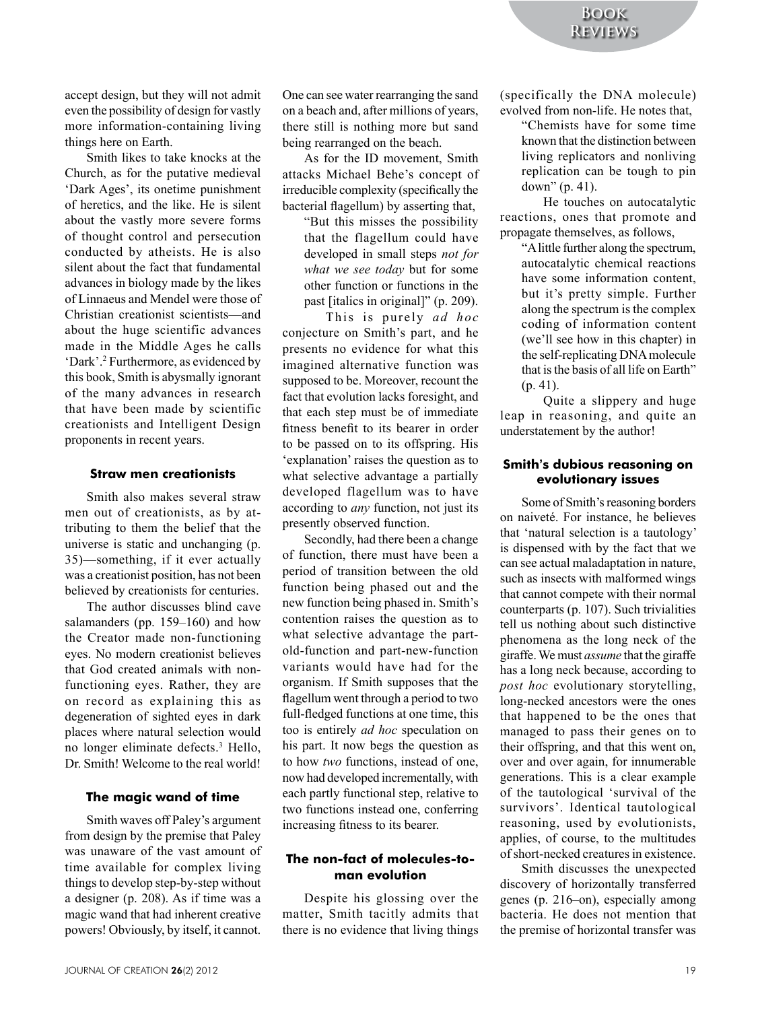accept design, but they will not admit even the possibility of design for vastly more information-containing living things here on Earth.

Smith likes to take knocks at the Church, as for the putative medieval 'Dark Ages', its onetime punishment of heretics, and the like. He is silent about the vastly more severe forms of thought control and persecution conducted by atheists. He is also silent about the fact that fundamental advances in biology made by the likes of Linnaeus and Mendel were those of Christian creationist scientists—and about the huge scientific advances made in the Middle Ages he calls 'Dark'.<sup>2</sup> Furthermore, as evidenced by this book, Smith is abysmally ignorant of the many advances in research that have been made by scientific creationists and Intelligent Design proponents in recent years.

#### **Straw men creationists**

Smith also makes several straw men out of creationists, as by attributing to them the belief that the universe is static and unchanging (p.  $35$ )—something, if it ever actually was a creationist position, has not been believed by creationists for centuries.

The author discusses blind cave salamanders (pp.  $159-160$ ) and how the Creator made non-functioning eyes. No modern creationist believes that God created animals with nonfunctioning eyes. Rather, they are on record as explaining this as degeneration of sighted eyes in dark places where natural selection would no longer eliminate defects.<sup>3</sup> Hello, Dr. Smith! Welcome to the real world!

#### **The magic wand of time**

Smith waves off Paley's argument from design by the premise that Paley was unaware of the vast amount of time available for complex living things to develop step-by-step without a designer (p. 208). As if time was a magic wand that had inherent creative powers! Obviously, by itself, it cannot. One can see water rearranging the sand on a beach and, after millions of years, there still is nothing more but sand being rearranged on the beach.

As for the ID movement, Smith attacks Michael Behe's concept of irreducible complexity (specifically the bacterial flagellum) by asserting that,

"But this misses the possibility that the flagellum could have developed in small steps *not for what we see today* but for some other function or functions in the past [italics in original]" (p. 209).

This is purely *ad hoc* conjecture on Smith's part, and he presents no evidence for what this imagined alternative function was supposed to be. Moreover, recount the fact that evolution lacks foresight, and that each step must be of immediate fitness benefit to its bearer in order to be passed on to its offspring. His 'explanation' raises the question as to what selective advantage a partially developed flagellum was to have according to *any* function, not just its presently observed function.

Secondly, had there been a change of function, there must have been a period of transition between the old function being phased out and the new function being phased in. Smith's contention raises the question as to what selective advantage the partold-function and part-new-function variants would have had for the organism. If Smith supposes that the flagellum went through a period to two full-fledged functions at one time, this too is entirely *ad hoc* speculation on his part. It now begs the question as to how two functions, instead of one, now had developed incrementally, with each partly functional step, relative to two functions instead one, conferring increasing fitness to its bearer.

#### **The non-fact of molecules-toman evolution**

Despite his glossing over the matter, Smith tacitly admits that there is no evidence that living things (specifically the DNA molecule) evolved from non-life. He notes that,

"Chemists have for some time known that the distinction between living replicators and nonliving replication can be tough to pin down"  $(p. 41)$ .

He touches on autocatalytic reactions, ones that promote and propagate themselves, as follows,

"A little further along the spectrum, autocatalytic chemical reactions have some information content, but it's pretty simple. Further along the spectrum is the complex coding of information content (we'll see how in this chapter) in the self-replicating DNA molecule that is the basis of all life on Earth"  $(p, 41)$ .

Ouite a slippery and huge leap in reasoning, and quite an understatement by the author!

#### **Smith's dubious reasoning on evolutionary issues**

Some of Smith's reasoning borders on naiveté. For instance, he believes that 'natural selection is a tautology' is dispensed with by the fact that we can see actual maladaptation in nature, such as insects with malformed wings that cannot compete with their normal counterparts (p.  $107$ ). Such trivialities tell us nothing about such distinctive phenomena as the long neck of the giraffe. We must *assume* that the giraffe has a long neck because, according to *post hoc* evolutionary storytelling, long-necked ancestors were the ones that happened to be the ones that managed to pass their genes on to their offspring, and that this went on, over and over again, for innumerable generations. This is a clear example of the tautological 'survival of the survivors'. Identical tautological reasoning, used by evolutionists, applies, of course, to the multitudes of short-necked creatures in existence.

Smith discusses the unexpected discovery of horizontally transferred genes (p.  $216$ –on), especially among bacteria. He does not mention that the premise of horizontal transfer was